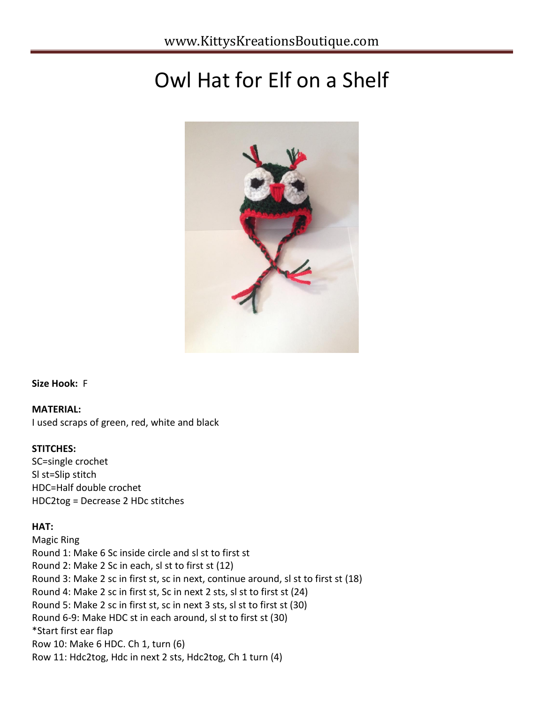# Owl Hat for Elf on a Shelf



**Size Hook:** F

## **MATERIAL:**

I used scraps of green, red, white and black

#### **STITCHES:**

SC=single crochet Sl st=Slip stitch HDC=Half double crochet HDC2tog = Decrease 2 HDc stitches

## **HAT:**

Magic Ring Round 1: Make 6 Sc inside circle and sl st to first st Round 2: Make 2 Sc in each, sl st to first st (12) Round 3: Make 2 sc in first st, sc in next, continue around, sl st to first st (18) Round 4: Make 2 sc in first st, Sc in next 2 sts, sl st to first st (24) Round 5: Make 2 sc in first st, sc in next 3 sts, sl st to first st (30) Round 6-9: Make HDC st in each around, sl st to first st (30) \*Start first ear flap Row 10: Make 6 HDC. Ch 1, turn (6) Row 11: Hdc2tog, Hdc in next 2 sts, Hdc2tog, Ch 1 turn (4)